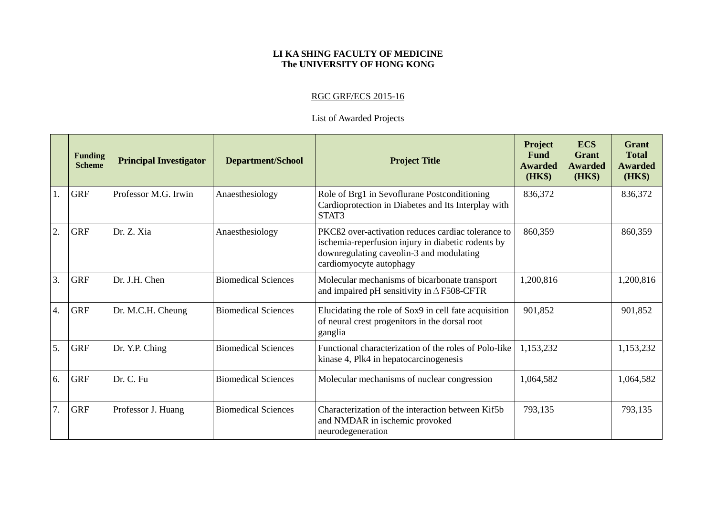## **LI KA SHING FACULTY OF MEDICINE The UNIVERSITY OF HONG KONG**

## RGC GRF/ECS 2015-16

## List of Awarded Projects

|    | <b>Funding</b><br><b>Scheme</b> | <b>Principal Investigator</b> | <b>Department/School</b>   | <b>Project Title</b>                                                                                                                                                                        | <b>Project</b><br>Fund<br><b>Awarded</b><br><b>(HK\$)</b> | <b>ECS</b><br><b>Grant</b><br><b>Awarded</b><br>(HK\$) | <b>Grant</b><br><b>Total</b><br><b>Awarded</b><br>(HK\$) |
|----|---------------------------------|-------------------------------|----------------------------|---------------------------------------------------------------------------------------------------------------------------------------------------------------------------------------------|-----------------------------------------------------------|--------------------------------------------------------|----------------------------------------------------------|
| 1. | <b>GRF</b>                      | Professor M.G. Irwin          | Anaesthesiology            | Role of Brg1 in Sevoflurane Postconditioning<br>Cardioprotection in Diabetes and Its Interplay with<br>STAT3                                                                                | 836,372                                                   |                                                        | 836,372                                                  |
| 2. | <b>GRF</b>                      | Dr. Z. Xia                    | Anaesthesiology            | PKCB <sub>2</sub> over-activation reduces cardiac tolerance to<br>ischemia-reperfusion injury in diabetic rodents by<br>downregulating caveolin-3 and modulating<br>cardiomyocyte autophagy | 860,359                                                   |                                                        | 860,359                                                  |
| 3. | <b>GRF</b>                      | Dr. J.H. Chen                 | <b>Biomedical Sciences</b> | Molecular mechanisms of bicarbonate transport<br>and impaired pH sensitivity in $\triangle$ F508-CFTR                                                                                       | 1,200,816                                                 |                                                        | 1,200,816                                                |
| 4. | <b>GRF</b>                      | Dr. M.C.H. Cheung             | <b>Biomedical Sciences</b> | Elucidating the role of Sox9 in cell fate acquisition<br>of neural crest progenitors in the dorsal root<br>ganglia                                                                          | 901,852                                                   |                                                        | 901,852                                                  |
| 5. | <b>GRF</b>                      | Dr. Y.P. Ching                | <b>Biomedical Sciences</b> | Functional characterization of the roles of Polo-like<br>kinase 4, Plk4 in hepatocarcinogenesis                                                                                             | 1,153,232                                                 |                                                        | 1,153,232                                                |
| 6. | <b>GRF</b>                      | Dr. C. Fu                     | <b>Biomedical Sciences</b> | Molecular mechanisms of nuclear congression                                                                                                                                                 | 1,064,582                                                 |                                                        | 1,064,582                                                |
| 7. | <b>GRF</b>                      | Professor J. Huang            | <b>Biomedical Sciences</b> | Characterization of the interaction between Kif5b<br>and NMDAR in ischemic provoked<br>neurodegeneration                                                                                    | 793,135                                                   |                                                        | 793,135                                                  |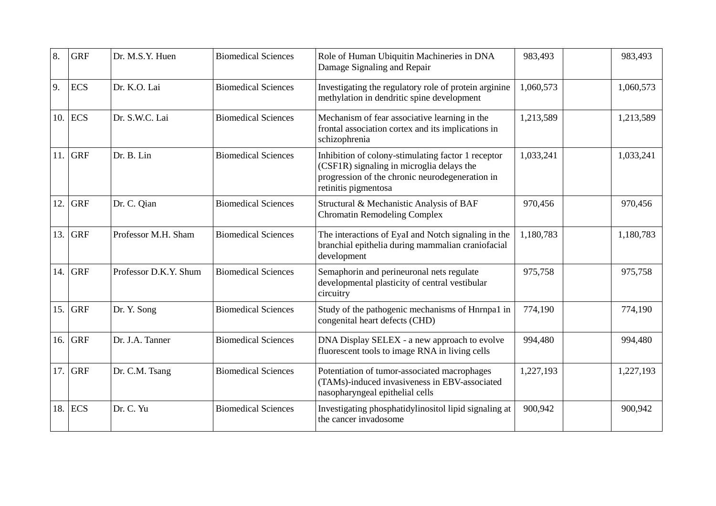| 8.  | <b>GRF</b> | Dr. M.S.Y. Huen       | <b>Biomedical Sciences</b> | Role of Human Ubiquitin Machineries in DNA<br>Damage Signaling and Repair                                                                                                  | 983,493   | 983,493   |
|-----|------------|-----------------------|----------------------------|----------------------------------------------------------------------------------------------------------------------------------------------------------------------------|-----------|-----------|
| 9.  | <b>ECS</b> | Dr. K.O. Lai          | <b>Biomedical Sciences</b> | Investigating the regulatory role of protein arginine<br>methylation in dendritic spine development                                                                        | 1,060,573 | 1,060,573 |
| 10. | <b>ECS</b> | Dr. S.W.C. Lai        | <b>Biomedical Sciences</b> | Mechanism of fear associative learning in the<br>frontal association cortex and its implications in<br>schizophrenia                                                       | 1,213,589 | 1,213,589 |
| 11. | <b>GRF</b> | Dr. B. Lin            | <b>Biomedical Sciences</b> | Inhibition of colony-stimulating factor 1 receptor<br>(CSF1R) signaling in microglia delays the<br>progression of the chronic neurodegeneration in<br>retinitis pigmentosa | 1,033,241 | 1,033,241 |
| 12. | <b>GRF</b> | Dr. C. Qian           | <b>Biomedical Sciences</b> | Structural & Mechanistic Analysis of BAF<br><b>Chromatin Remodeling Complex</b>                                                                                            | 970,456   | 970,456   |
| 13. | <b>GRF</b> | Professor M.H. Sham   | <b>Biomedical Sciences</b> | The interactions of EyaI and Notch signaling in the<br>branchial epithelia during mammalian craniofacial<br>development                                                    | 1,180,783 | 1,180,783 |
| 14. | <b>GRF</b> | Professor D.K.Y. Shum | <b>Biomedical Sciences</b> | Semaphorin and perineuronal nets regulate<br>developmental plasticity of central vestibular<br>circuitry                                                                   | 975,758   | 975,758   |
| 15. | <b>GRF</b> | Dr. Y. Song           | <b>Biomedical Sciences</b> | Study of the pathogenic mechanisms of Hnrnpa1 in<br>congenital heart defects (CHD)                                                                                         | 774,190   | 774,190   |
| 16. | <b>GRF</b> | Dr. J.A. Tanner       | <b>Biomedical Sciences</b> | DNA Display SELEX - a new approach to evolve<br>fluorescent tools to image RNA in living cells                                                                             | 994,480   | 994,480   |
| 17. | <b>GRF</b> | Dr. C.M. Tsang        | <b>Biomedical Sciences</b> | Potentiation of tumor-associated macrophages<br>(TAMs)-induced invasiveness in EBV-associated<br>nasopharyngeal epithelial cells                                           | 1,227,193 | 1,227,193 |
| 18. | <b>ECS</b> | Dr. C. Yu             | <b>Biomedical Sciences</b> | Investigating phosphatidylinositol lipid signaling at<br>the cancer invadosome                                                                                             | 900,942   | 900,942   |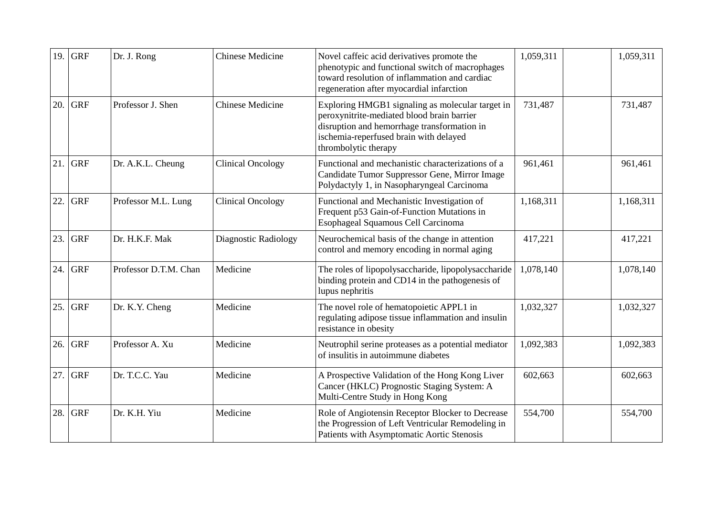| 19. | <b>GRF</b> | Dr. J. Rong           | <b>Chinese Medicine</b>  | Novel caffeic acid derivatives promote the<br>phenotypic and functional switch of macrophages<br>toward resolution of inflammation and cardiac<br>regeneration after myocardial infarction                      | 1,059,311 | 1,059,311 |
|-----|------------|-----------------------|--------------------------|-----------------------------------------------------------------------------------------------------------------------------------------------------------------------------------------------------------------|-----------|-----------|
| 20. | <b>GRF</b> | Professor J. Shen     | <b>Chinese Medicine</b>  | Exploring HMGB1 signaling as molecular target in<br>peroxynitrite-mediated blood brain barrier<br>disruption and hemorrhage transformation in<br>ischemia-reperfused brain with delayed<br>thrombolytic therapy | 731,487   | 731,487   |
| 21. | <b>GRF</b> | Dr. A.K.L. Cheung     | <b>Clinical Oncology</b> | Functional and mechanistic characterizations of a<br>Candidate Tumor Suppressor Gene, Mirror Image<br>Polydactyly 1, in Nasopharyngeal Carcinoma                                                                | 961,461   | 961,461   |
| 22. | <b>GRF</b> | Professor M.L. Lung   | <b>Clinical Oncology</b> | Functional and Mechanistic Investigation of<br>Frequent p53 Gain-of-Function Mutations in<br>Esophageal Squamous Cell Carcinoma                                                                                 | 1,168,311 | 1,168,311 |
| 23. | <b>GRF</b> | Dr. H.K.F. Mak        | Diagnostic Radiology     | Neurochemical basis of the change in attention<br>control and memory encoding in normal aging                                                                                                                   | 417,221   | 417,221   |
| 24. | <b>GRF</b> | Professor D.T.M. Chan | Medicine                 | The roles of lipopolysaccharide, lipopolysaccharide<br>binding protein and CD14 in the pathogenesis of<br>lupus nephritis                                                                                       | 1,078,140 | 1,078,140 |
| 25. | <b>GRF</b> | Dr. K.Y. Cheng        | Medicine                 | The novel role of hematopoietic APPL1 in<br>regulating adipose tissue inflammation and insulin<br>resistance in obesity                                                                                         | 1,032,327 | 1,032,327 |
| 26. | <b>GRF</b> | Professor A. Xu       | Medicine                 | Neutrophil serine proteases as a potential mediator<br>of insulitis in autoimmune diabetes                                                                                                                      | 1,092,383 | 1,092,383 |
| 27. | <b>GRF</b> | Dr. T.C.C. Yau        | Medicine                 | A Prospective Validation of the Hong Kong Liver<br>Cancer (HKLC) Prognostic Staging System: A<br>Multi-Centre Study in Hong Kong                                                                                | 602,663   | 602,663   |
| 28. | <b>GRF</b> | Dr. K.H. Yiu          | Medicine                 | Role of Angiotensin Receptor Blocker to Decrease<br>the Progression of Left Ventricular Remodeling in<br>Patients with Asymptomatic Aortic Stenosis                                                             | 554,700   | 554,700   |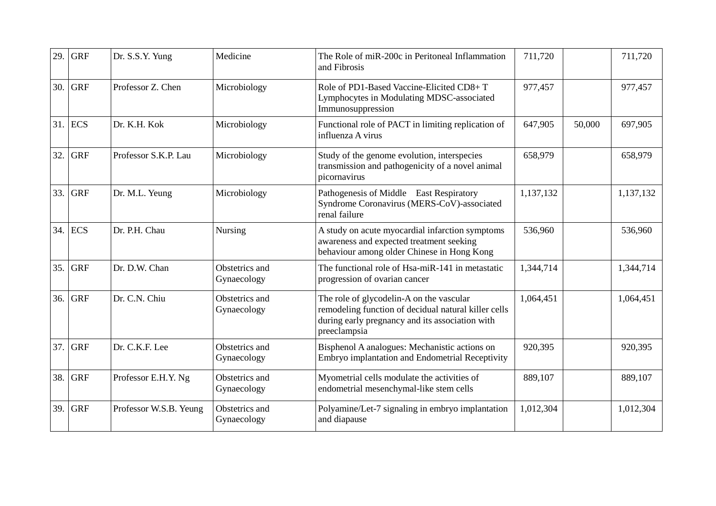| 29. | <b>GRF</b> | Dr. S.S.Y. Yung        | Medicine                      | The Role of miR-200c in Peritoneal Inflammation<br>and Fibrosis                                                                                                     | 711,720   |        | 711,720   |
|-----|------------|------------------------|-------------------------------|---------------------------------------------------------------------------------------------------------------------------------------------------------------------|-----------|--------|-----------|
| 30. | <b>GRF</b> | Professor Z. Chen      | Microbiology                  | Role of PD1-Based Vaccine-Elicited CD8+T<br>Lymphocytes in Modulating MDSC-associated<br>Immunosuppression                                                          | 977,457   |        | 977,457   |
|     | $31.$ ECS  | Dr. K.H. Kok           | Microbiology                  | Functional role of PACT in limiting replication of<br>influenza A virus                                                                                             | 647,905   | 50,000 | 697,905   |
| 32. | <b>GRF</b> | Professor S.K.P. Lau   | Microbiology                  | Study of the genome evolution, interspecies<br>transmission and pathogenicity of a novel animal<br>picornavirus                                                     | 658,979   |        | 658,979   |
| 33. | <b>GRF</b> | Dr. M.L. Yeung         | Microbiology                  | Pathogenesis of Middle East Respiratory<br>Syndrome Coronavirus (MERS-CoV)-associated<br>renal failure                                                              | 1,137,132 |        | 1,137,132 |
| 34. | <b>ECS</b> | Dr. P.H. Chau          | Nursing                       | A study on acute myocardial infarction symptoms<br>awareness and expected treatment seeking<br>behaviour among older Chinese in Hong Kong                           | 536,960   |        | 536,960   |
| 35. | <b>GRF</b> | Dr. D.W. Chan          | Obstetrics and<br>Gynaecology | The functional role of Hsa-miR-141 in metastatic<br>progression of ovarian cancer                                                                                   | 1,344,714 |        | 1,344,714 |
| 36. | <b>GRF</b> | Dr. C.N. Chiu          | Obstetrics and<br>Gynaecology | The role of glycodelin-A on the vascular<br>remodeling function of decidual natural killer cells<br>during early pregnancy and its association with<br>preeclampsia | 1,064,451 |        | 1,064,451 |
| 37. | <b>GRF</b> | Dr. C.K.F. Lee         | Obstetrics and<br>Gynaecology | Bisphenol A analogues: Mechanistic actions on<br>Embryo implantation and Endometrial Receptivity                                                                    | 920,395   |        | 920,395   |
| 38. | <b>GRF</b> | Professor E.H.Y. Ng    | Obstetrics and<br>Gynaecology | Myometrial cells modulate the activities of<br>endometrial mesenchymal-like stem cells                                                                              | 889,107   |        | 889,107   |
| 39. | <b>GRF</b> | Professor W.S.B. Yeung | Obstetrics and<br>Gynaecology | Polyamine/Let-7 signaling in embryo implantation<br>and diapause                                                                                                    | 1,012,304 |        | 1,012,304 |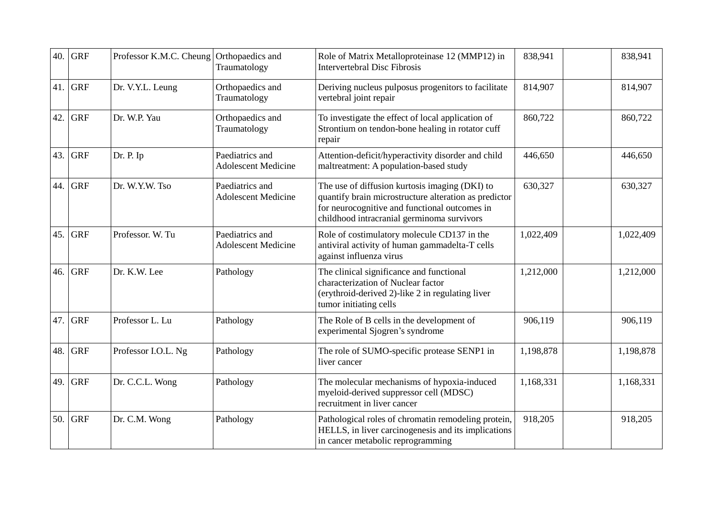| 40. | <b>GRF</b> | Professor K.M.C. Cheung | Orthopaedics and<br>Traumatology              | Role of Matrix Metalloproteinase 12 (MMP12) in<br><b>Intervertebral Disc Fibrosis</b>                                                                                                                  | 838,941   | 838,941   |
|-----|------------|-------------------------|-----------------------------------------------|--------------------------------------------------------------------------------------------------------------------------------------------------------------------------------------------------------|-----------|-----------|
| 41. | <b>GRF</b> | Dr. V.Y.L. Leung        | Orthopaedics and<br>Traumatology              | Deriving nucleus pulposus progenitors to facilitate<br>vertebral joint repair                                                                                                                          | 814,907   | 814,907   |
| 42. | <b>GRF</b> | Dr. W.P. Yau            | Orthopaedics and<br>Traumatology              | To investigate the effect of local application of<br>Strontium on tendon-bone healing in rotator cuff<br>repair                                                                                        | 860,722   | 860,722   |
| 43. | <b>GRF</b> | Dr. P. Ip               | Paediatrics and<br><b>Adolescent Medicine</b> | Attention-deficit/hyperactivity disorder and child<br>maltreatment: A population-based study                                                                                                           | 446,650   | 446,650   |
| 44. | <b>GRF</b> | Dr. W.Y.W. Tso          | Paediatrics and<br><b>Adolescent Medicine</b> | The use of diffusion kurtosis imaging (DKI) to<br>quantify brain microstructure alteration as predictor<br>for neurocognitive and functional outcomes in<br>childhood intracranial germinoma survivors | 630,327   | 630,327   |
| 45. | <b>GRF</b> | Professor. W. Tu        | Paediatrics and<br><b>Adolescent Medicine</b> | Role of costimulatory molecule CD137 in the<br>antiviral activity of human gammadelta-T cells<br>against influenza virus                                                                               | 1,022,409 | 1,022,409 |
| 46. | <b>GRF</b> | Dr. K.W. Lee            | Pathology                                     | The clinical significance and functional<br>characterization of Nuclear factor<br>(erythroid-derived 2)-like 2 in regulating liver<br>tumor initiating cells                                           | 1,212,000 | 1,212,000 |
| 47. | <b>GRF</b> | Professor L. Lu         | Pathology                                     | The Role of B cells in the development of<br>experimental Sjogren's syndrome                                                                                                                           | 906,119   | 906,119   |
| 48. | <b>GRF</b> | Professor I.O.L. Ng     | Pathology                                     | The role of SUMO-specific protease SENP1 in<br>liver cancer                                                                                                                                            | 1,198,878 | 1,198,878 |
| 49. | <b>GRF</b> | Dr. C.C.L. Wong         | Pathology                                     | The molecular mechanisms of hypoxia-induced<br>myeloid-derived suppressor cell (MDSC)<br>recruitment in liver cancer                                                                                   | 1,168,331 | 1,168,331 |
| 50. | <b>GRF</b> | Dr. C.M. Wong           | Pathology                                     | Pathological roles of chromatin remodeling protein,<br>HELLS, in liver carcinogenesis and its implications<br>in cancer metabolic reprogramming                                                        | 918,205   | 918,205   |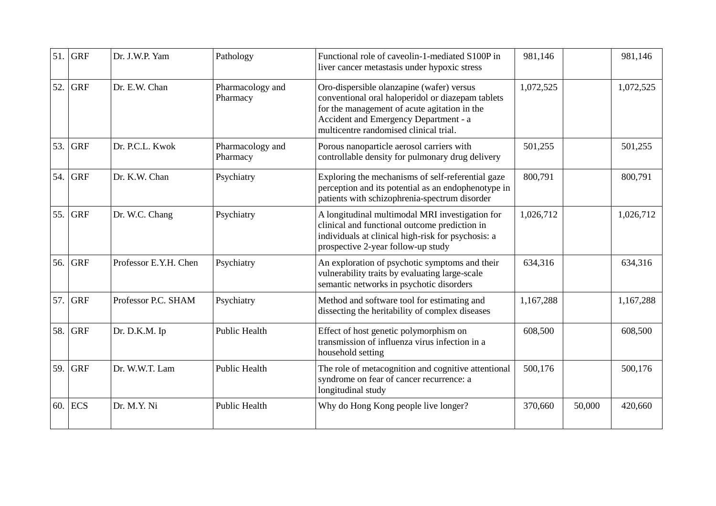| 51. | <b>GRF</b> | Dr. J.W.P. Yam        | Pathology                    | Functional role of caveolin-1-mediated S100P in<br>liver cancer metastasis under hypoxic stress                                                                                                                                   | 981,146   |        | 981,146   |
|-----|------------|-----------------------|------------------------------|-----------------------------------------------------------------------------------------------------------------------------------------------------------------------------------------------------------------------------------|-----------|--------|-----------|
| 52. | <b>GRF</b> | Dr. E.W. Chan         | Pharmacology and<br>Pharmacy | Oro-dispersible olanzapine (wafer) versus<br>conventional oral haloperidol or diazepam tablets<br>for the management of acute agitation in the<br>Accident and Emergency Department - a<br>multicentre randomised clinical trial. | 1,072,525 |        | 1,072,525 |
| 53. | <b>GRF</b> | Dr. P.C.L. Kwok       | Pharmacology and<br>Pharmacy | Porous nanoparticle aerosol carriers with<br>controllable density for pulmonary drug delivery                                                                                                                                     | 501,255   |        | 501,255   |
| 54. | <b>GRF</b> | Dr. K.W. Chan         | Psychiatry                   | Exploring the mechanisms of self-referential gaze<br>perception and its potential as an endophenotype in<br>patients with schizophrenia-spectrum disorder                                                                         | 800,791   |        | 800,791   |
| 55. | <b>GRF</b> | Dr. W.C. Chang        | Psychiatry                   | A longitudinal multimodal MRI investigation for<br>clinical and functional outcome prediction in<br>individuals at clinical high-risk for psychosis: a<br>prospective 2-year follow-up study                                      | 1,026,712 |        | 1,026,712 |
| 56. | <b>GRF</b> | Professor E.Y.H. Chen | Psychiatry                   | An exploration of psychotic symptoms and their<br>vulnerability traits by evaluating large-scale<br>semantic networks in psychotic disorders                                                                                      | 634,316   |        | 634,316   |
| 57. | <b>GRF</b> | Professor P.C. SHAM   | Psychiatry                   | Method and software tool for estimating and<br>dissecting the heritability of complex diseases                                                                                                                                    | 1,167,288 |        | 1,167,288 |
| 58. | <b>GRF</b> | Dr. D.K.M. Ip         | <b>Public Health</b>         | Effect of host genetic polymorphism on<br>transmission of influenza virus infection in a<br>household setting                                                                                                                     | 608,500   |        | 608,500   |
| 59. | <b>GRF</b> | Dr. W.W.T. Lam        | <b>Public Health</b>         | The role of metacognition and cognitive attentional<br>syndrome on fear of cancer recurrence: a<br>longitudinal study                                                                                                             | 500,176   |        | 500,176   |
| 60. | <b>ECS</b> | Dr. M.Y. Ni           | <b>Public Health</b>         | Why do Hong Kong people live longer?                                                                                                                                                                                              | 370,660   | 50,000 | 420,660   |